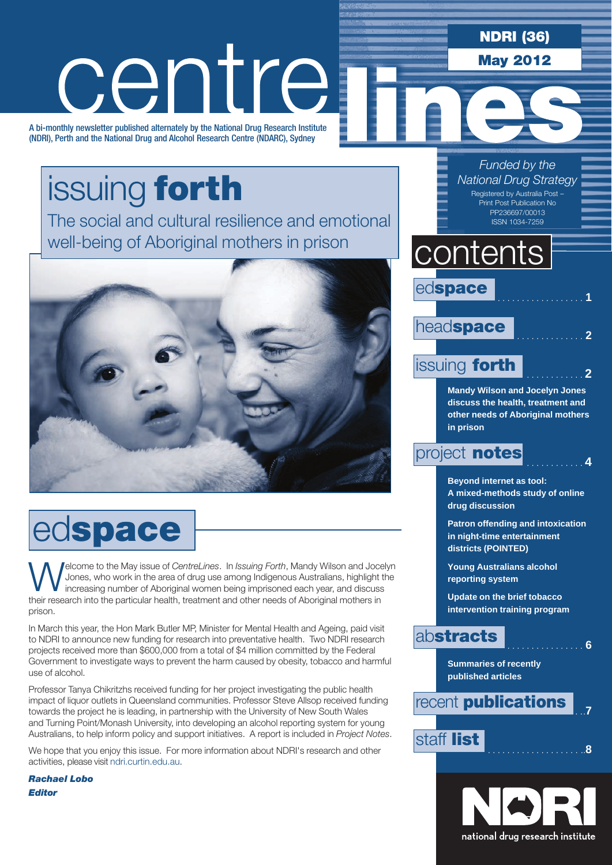NDRI (36)

May 2012

# centre

A bi-monthly newsletter published alternately by the National Drug Research Institute (NDRI), Perth and the National Drug and Alcohol Research Centre (NDARC), Sydney

## issuing forth

The social and cultural resilience and emotional well-being of Aboriginal mothers in prison



# edspace

**Welcome to the May issue of** *CentreLines*. In *Issuing Forth*, Mandy Wilson and Jocelyn Jones, who work in the area of drug use among Indigenous Australians, highlight the increasing number of Aboriginal women being impr Jones, who work in the area of drug use among Indigenous Australians, highlight the increasing number of Aboriginal women being imprisoned each year, and discuss their research into the particular health, treatment and other needs of Aboriginal mothers in prison.

In March this year, the Hon Mark Butler MP, Minister for Mental Health and Ageing, paid visit to NDRI to announce new funding for research into preventative health. Two NDRI research projects received more than \$600,000 from a total of \$4 million committed by the Federal Government to investigate ways to prevent the harm caused by obesity, tobacco and harmful use of alcohol.

Professor Tanya Chikritzhs received funding for her project investigating the public health impact of liquor outlets in Queensland communities. Professor Steve Allsop received funding towards the project he is leading, in partnership with the University of New South Wales and Turning Point/Monash University, into developing an alcohol reporting system for young Australians, to help inform policy and support initiatives. A report is included in *Project Notes*.

We hope that you enjoy this issue. For more information about NDRI's research and other activities, please visit ndri.curtin.edu.au.

*Rachael Lobo Editor*

### *Funded by the National Drug Strategy*

Registered by Australia Post – Print Post Publication No PP236697/00013 ISSN 1034-7259

### **contents**

edspace

### headspace

### issuing **forth**

**Mandy Wilson and Jocelyn Jones discuss the health, treatment and other needs of Aboriginal mothers in prison**

### project **notes**

**Beyond internet as tool: A mixed-methods study of online drug discussion**

**Patron offending and intoxication in night-time entertainment districts (POINTED)**

**Young Australians alcohol reporting system**

**Update on the brief tobacco intervention training program**

### abstracts . . . . . . . . . . . . . . . . **<sup>6</sup>**

**Summaries of recently published articles**

### **recent publications**

### staff list . . . . . . . . . . . . . . . . . . ...**<sup>8</sup>**

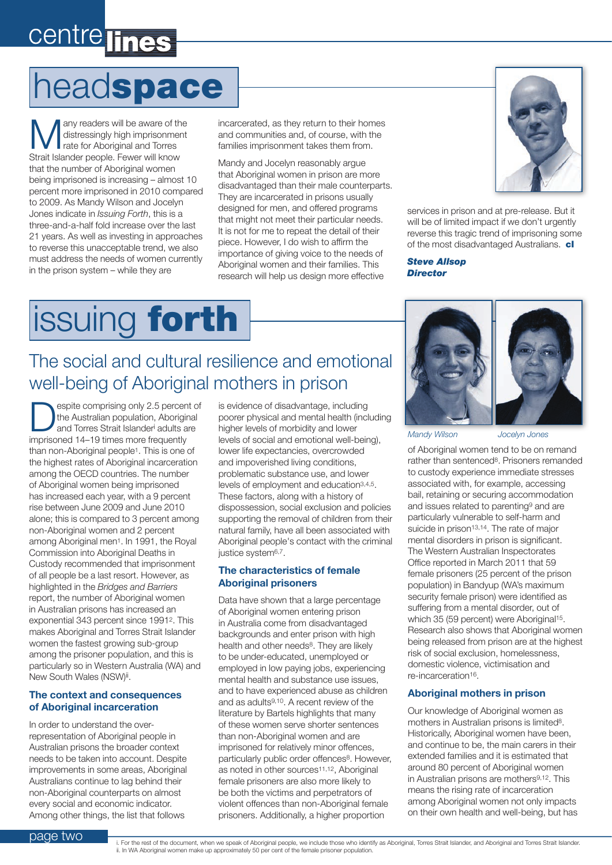# centre lines

# headspace

Many readers will be aware of the<br>distressingly high imprisonment<br>rate for Aboriginal and Torres distressingly high imprisonment rate for Aboriginal and Torres Strait Islander people. Fewer will know that the number of Aboriginal women being imprisoned is increasing – almost 10 percent more imprisoned in 2010 compared to 2009. As Mandy Wilson and Jocelyn Jones indicate in *Issuing Forth*, this is a three-and-a-half fold increase over the last 21 years. As well as investing in approaches to reverse this unacceptable trend, we also must address the needs of women currently in the prison system – while they are

incarcerated, as they return to their homes and communities and, of course, with the families imprisonment takes them from.

Mandy and Jocelyn reasonably argue that Aboriginal women in prison are more disadvantaged than their male counterparts. They are incarcerated in prisons usually designed for men, and offered programs that might not meet their particular needs. It is not for me to repeat the detail of their piece. However, I do wish to affirm the importance of giving voice to the needs of Aboriginal women and their families. This research will help us design more effective



services in prison and at pre-release. But it will be of limited impact if we don't urgently reverse this tragic trend of imprisoning some of the most disadvantaged Australians. cl

*Steve Allsop Director*

# issuing forth

### The social and cultural resilience and emotional well-being of Aboriginal mothers in prison

espite comprising only 2.5 percent of the Australian population, Aboriginal and Torres Strait Islander<sup>i</sup> adults are imprisoned 14–19 times more frequently than non-Aboriginal people1. This is one of the highest rates of Aboriginal incarceration among the OECD countries. The number of Aboriginal women being imprisoned has increased each year, with a 9 percent rise between June 2009 and June 2010 alone; this is compared to 3 percent among non-Aboriginal women and 2 percent among Aboriginal men1. In 1991, the Royal Commission into Aboriginal Deaths in Custody recommended that imprisonment of all people be a last resort. However, as highlighted in the *Bridges and Barriers* report, the number of Aboriginal women in Australian prisons has increased an exponential 343 percent since 19912. This makes Aboriginal and Torres Strait Islander women the fastest growing sub-group among the prisoner population, and this is particularly so in Western Australia (WA) and New South Wales (NSW)<sup>ii</sup>.

#### **The context and consequences of Aboriginal incarceration**

In order to understand the overrepresentation of Aboriginal people in Australian prisons the broader context needs to be taken into account. Despite improvements in some areas, Aboriginal Australians continue to lag behind their non-Aboriginal counterparts on almost every social and economic indicator. Among other things, the list that follows

is evidence of disadvantage, including poorer physical and mental health (including higher levels of morbidity and lower levels of social and emotional well-being), lower life expectancies, overcrowded and impoverished living conditions, problematic substance use, and lower levels of employment and education3,4,5. These factors, along with a history of dispossession, social exclusion and policies supporting the removal of children from their natural family, have all been associated with Aboriginal people's contact with the criminal justice system<sup>6,7</sup>.

#### **The characteristics of female Aboriginal prisoners**

Data have shown that a large percentage of Aboriginal women entering prison in Australia come from disadvantaged backgrounds and enter prison with high health and other needs<sup>8</sup>. They are likely to be under-educated, unemployed or employed in low paying jobs, experiencing mental health and substance use issues, and to have experienced abuse as children and as adults<sup>9,10</sup>. A recent review of the literature by Bartels highlights that many of these women serve shorter sentences than non-Aboriginal women and are imprisoned for relatively minor offences, particularly public order offences<sup>8</sup>. However, as noted in other sources<sup>11,12</sup>, Aboriginal female prisoners are also more likely to be both the victims and perpetrators of violent offences than non-Aboriginal female prisoners. Additionally, a higher proportion



*Mandy Wilson Jocelyn Jones*

of Aboriginal women tend to be on remand rather than sentenced<sup>8</sup>. Prisoners remanded to custody experience immediate stresses associated with, for example, accessing bail, retaining or securing accommodation and issues related to parenting9 and are particularly vulnerable to self-harm and suicide in prison<sup>13,14</sup>. The rate of major mental disorders in prison is significant. The Western Australian Inspectorates Office reported in March 2011 that 59 female prisoners (25 percent of the prison population) in Bandyup (WA's maximum security female prison) were identified as suffering from a mental disorder, out of which 35 (59 percent) were Aboriginal<sup>15</sup>. Research also shows that Aboriginal women being released from prison are at the highest risk of social exclusion, homelessness, domestic violence, victimisation and re-incarceration16.

#### **Aboriginal mothers in prison**

Our knowledge of Aboriginal women as mothers in Australian prisons is limited<sup>8</sup>. Historically, Aboriginal women have been, and continue to be, the main carers in their extended families and it is estimated that around 80 percent of Aboriginal women in Australian prisons are mothers<sup>9,12</sup>. This means the rising rate of incarceration among Aboriginal women not only impacts on their own health and well-being, but has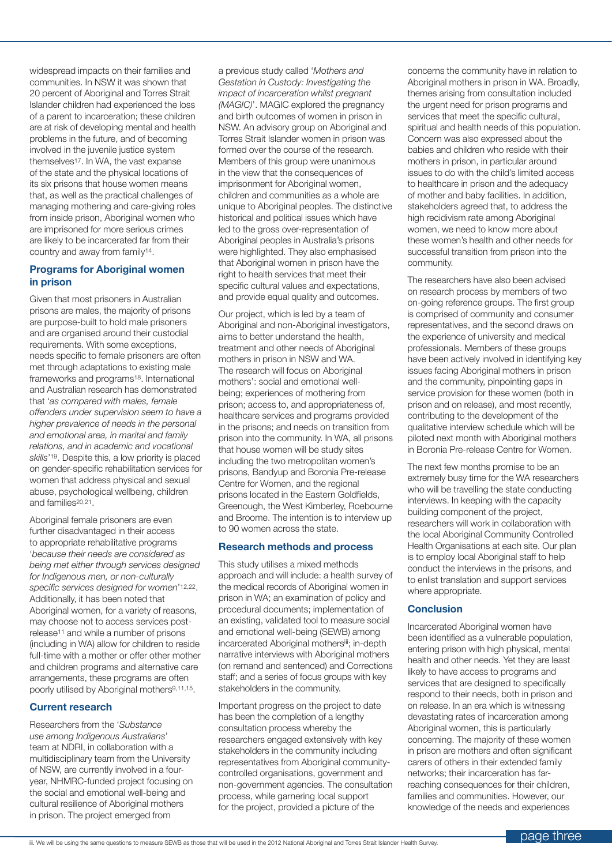widespread impacts on their families and communities. In NSW it was shown that 20 percent of Aboriginal and Torres Strait Islander children had experienced the loss of a parent to incarceration; these children are at risk of developing mental and health problems in the future, and of becoming involved in the juvenile justice system themselves<sup>17</sup>. In WA, the vast expanse of the state and the physical locations of its six prisons that house women means that, as well as the practical challenges of managing mothering and care-giving roles from inside prison, Aboriginal women who are imprisoned for more serious crimes are likely to be incarcerated far from their country and away from family14.

#### **Programs for Aboriginal women in prison**

Given that most prisoners in Australian prisons are males, the majority of prisons are purpose-built to hold male prisoners and are organised around their custodial requirements. With some exceptions, needs specific to female prisoners are often met through adaptations to existing male frameworks and programs<sup>18</sup>. International and Australian research has demonstrated that '*as compared with males, female offenders under supervision seem to have a higher prevalence of needs in the personal and emotional area, in marital and family relations, and in academic and vocational skills*'19. Despite this, a low priority is placed on gender-specific rehabilitation services for women that address physical and sexual abuse, psychological wellbeing, children and families20,21.

Aboriginal female prisoners are even further disadvantaged in their access to appropriate rehabilitative programs '*because their needs are considered as being met either through services designed for Indigenous men, or non-culturally specific services designed for women*'12,22. Additionally, it has been noted that Aboriginal women, for a variety of reasons, may choose not to access services postrelease11 and while a number of prisons (including in WA) allow for children to reside full-time with a mother or offer other mother and children programs and alternative care arrangements, these programs are often poorly utilised by Aboriginal mothers9,11,15.

#### **Current research**

Researchers from the '*Substance use among Indigenous Australians*' team at NDRI, in collaboration with a multidisciplinary team from the University of NSW, are currently involved in a fouryear, NHMRC-funded project focusing on the social and emotional well-being and cultural resilience of Aboriginal mothers in prison. The project emerged from

a previous study called '*Mothers and Gestation in Custody: Investigating the impact of incarceration whilst pregnant (MAGIC)*'. MAGIC explored the pregnancy and birth outcomes of women in prison in NSW. An advisory group on Aboriginal and Torres Strait Islander women in prison was formed over the course of the research. Members of this group were unanimous in the view that the consequences of imprisonment for Aboriginal women, children and communities as a whole are unique to Aboriginal peoples. The distinctive historical and political issues which have led to the gross over-representation of Aboriginal peoples in Australia's prisons were highlighted. They also emphasised that Aboriginal women in prison have the right to health services that meet their specific cultural values and expectations, and provide equal quality and outcomes.

Our project, which is led by a team of Aboriginal and non-Aboriginal investigators, aims to better understand the health, treatment and other needs of Aboriginal mothers in prison in NSW and WA. The research will focus on Aboriginal mothers': social and emotional wellbeing; experiences of mothering from prison; access to, and appropriateness of, healthcare services and programs provided in the prisons; and needs on transition from prison into the community. In WA, all prisons that house women will be study sites including the two metropolitan women's prisons, Bandyup and Boronia Pre-release Centre for Women, and the regional prisons located in the Eastern Goldfields, Greenough, the West Kimberley, Roebourne and Broome. The intention is to interview up to 90 women across the state.

#### **Research methods and process**

This study utilises a mixed methods approach and will include: a health survey of the medical records of Aboriginal women in prison in WA; an examination of policy and procedural documents; implementation of an existing, validated tool to measure social and emotional well-being (SEWB) among incarcerated Aboriginal mothersiii; in-depth narrative interviews with Aboriginal mothers (on remand and sentenced) and Corrections staff; and a series of focus groups with key stakeholders in the community.

Important progress on the project to date has been the completion of a lengthy consultation process whereby the researchers engaged extensively with key stakeholders in the community including representatives from Aboriginal communitycontrolled organisations, government and non-government agencies. The consultation process, while garnering local support for the project, provided a picture of the

concerns the community have in relation to Aboriginal mothers in prison in WA. Broadly, themes arising from consultation included the urgent need for prison programs and services that meet the specific cultural, spiritual and health needs of this population. Concern was also expressed about the babies and children who reside with their mothers in prison, in particular around issues to do with the child's limited access to healthcare in prison and the adequacy of mother and baby facilities. In addition, stakeholders agreed that, to address the high recidivism rate among Aboriginal women, we need to know more about these women's health and other needs for successful transition from prison into the community.

The researchers have also been advised on research process by members of two on-going reference groups. The first group is comprised of community and consumer representatives, and the second draws on the experience of university and medical professionals. Members of these groups have been actively involved in identifying key issues facing Aboriginal mothers in prison and the community, pinpointing gaps in service provision for these women (both in prison and on release), and most recently, contributing to the development of the qualitative interview schedule which will be piloted next month with Aboriginal mothers in Boronia Pre-release Centre for Women.

The next few months promise to be an extremely busy time for the WA researchers who will be travelling the state conducting interviews. In keeping with the capacity building component of the project, researchers will work in collaboration with the local Aboriginal Community Controlled Health Organisations at each site. Our plan is to employ local Aboriginal staff to help conduct the interviews in the prisons, and to enlist translation and support services where appropriate.

#### **Conclusion**

Incarcerated Aboriginal women have been identified as a vulnerable population, entering prison with high physical, mental health and other needs. Yet they are least likely to have access to programs and services that are designed to specifically respond to their needs, both in prison and on release. In an era which is witnessing devastating rates of incarceration among Aboriginal women, this is particularly concerning. The majority of these women in prison are mothers and often significant carers of others in their extended family networks; their incarceration has farreaching consequences for their children, families and communities. However, our knowledge of the needs and experiences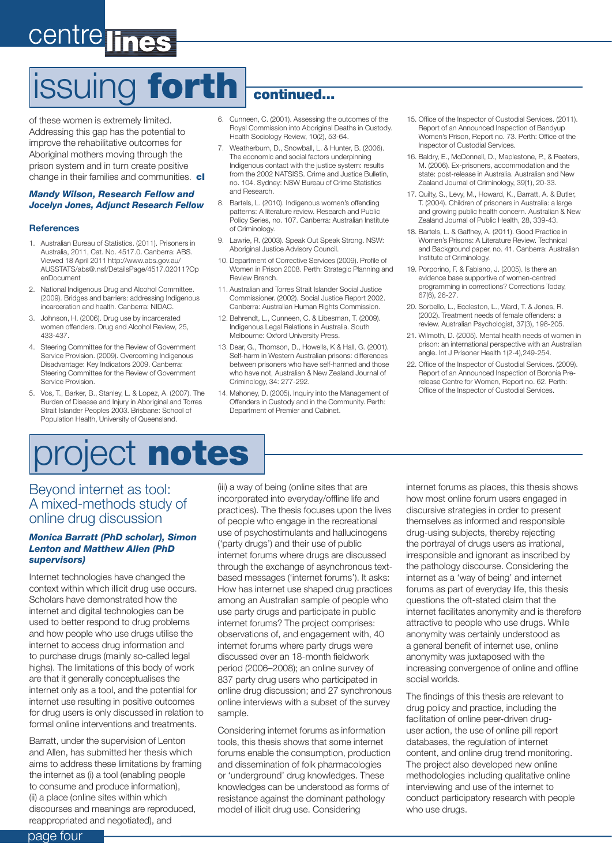# centre lines

# issuing forth continued...

of these women is extremely limited. Addressing this gap has the potential to improve the rehabilitative outcomes for Aboriginal mothers moving through the prison system and in turn create positive change in their families and communities. cl

#### *Mandy Wilson, Research Fellow and Jocelyn Jones, Adjunct Research Fellow*

#### **References**

- 1. Australian Bureau of Statistics. (2011). Prisoners in Australia, 2011, Cat. No. 4517.0. Canberra: ABS. Viewed 18 April 2011 http://www.abs.gov.au/ AUSSTATS/abs@.nsf/DetailsPage/4517.02011?Op enDocument
- 2. National Indigenous Drug and Alcohol Committee. (2009). Bridges and barriers: addressing Indigenous incarceration and health. Canberra: NIDAC.
- 3. Johnson, H. (2006). Drug use by incarcerated women offenders. Drug and Alcohol Review, 25, 433-437.
- 4. Steering Committee for the Review of Government Service Provision. (2009). Overcoming Indigenous Disadvantage: Key Indicators 2009. Canberra: Steering Committee for the Review of Government Service Provision.
- 5. Vos, T., Barker, B., Stanley, L. & Lopez, A. (2007). The Burden of Disease and Injury in Aboriginal and Torres Strait Islander Peoples 2003. Brisbane: School of Population Health, University of Queensland.

- 6. Cunneen, C. (2001). Assessing the outcomes of the Royal Commission into Aboriginal Deaths in Custody. Health Sociology Review, 10(2), 53-64.
- 7. Weatherburn, D., Snowball, L. & Hunter, B. (2006). The economic and social factors underpinning Indigenous contact with the justice system: results from the 2002 NATSISS. Crime and Justice Bulletin, no. 104. Sydney: NSW Bureau of Crime Statistics and Research.
- 8. Bartels, L. (2010). Indigenous women's offending patterns: A literature review. Research and Public Policy Series, no. 107. Canberra: Australian Institute of Criminology.
- 9. Lawrie, R. (2003). Speak Out Speak Strong. NSW: Aboriginal Justice Advisory Council.
- 10. Department of Corrective Services (2009). Profile of Women in Prison 2008. Perth: Strategic Planning and Review Branch.
- 11. Australian and Torres Strait Islander Social Justice Commissioner. (2002). Social Justice Report 2002. Canberra: Australian Human Rights Commission.
- 12. Behrendt, L., Cunneen, C. & Libesman, T. (2009). Indigenous Legal Relations in Australia. South Melbourne: Oxford University Press.
- 13. Dear, G., Thomson, D., Howells, K & Hall, G. (2001). Self-harm in Western Australian prisons: differences between prisoners who have self-harmed and those who have not, Australian & New Zealand Journal of Criminology, 34: 277-292.
- 14. Mahoney, D. (2005). Inquiry into the Management of Offenders in Custody and in the Community. Perth: Department of Premier and Cabinet.
- 15. Office of the Inspector of Custodial Services. (2011). Report of an Announced Inspection of Bandyup Women's Prison, Report no. 73. Perth: Office of the Inspector of Custodial Services.
- 16. Baldry, E., McDonnell, D., Maplestone, P., & Peeters, M. (2006). Ex-prisoners, accommodation and the state: post-release in Australia. Australian and New Zealand Journal of Criminology, 39(1), 20-33.
- 17. Quilty, S., Levy, M., Howard, K., Barratt, A. & Butler, T. (2004). Children of prisoners in Australia: a large and growing public health concern. Australian & New Zealand Journal of Public Health, 28, 339-43.
- 18. Bartels, L. & Gaffney, A. (2011). Good Practice in Women's Prisons: A Literature Review. Technical and Background paper, no. 41. Canberra: Australian Institute of Criminology.
- 19. Porporino, F. & Fabiano, J. (2005). Is there an evidence base supportive of women-centred programming in corrections? Corrections Today, 67(6), 26-27.
- 20. Sorbello, L., Eccleston, L., Ward, T. & Jones, R. (2002). Treatment needs of female offenders: a review. Australian Psychologist, 37(3), 198-205.
- 21. Wilmoth, D. (2005). Mental health needs of women in prison: an international perspective with an Australian angle. Int J Prisoner Health 1(2-4),249-254.
- 22. Office of the Inspector of Custodial Services. (2009). Report of an Announced Inspection of Boronia Prerelease Centre for Women, Report no. 62. Perth: Office of the Inspector of Custodial Services.

# project notes

#### Beyond internet as tool: A mixed-methods study of online drug discussion

#### *Monica Barratt (PhD scholar), Simon Lenton and Matthew Allen (PhD supervisors)*

Internet technologies have changed the context within which illicit drug use occurs. Scholars have demonstrated how the internet and digital technologies can be used to better respond to drug problems and how people who use drugs utilise the internet to access drug information and to purchase drugs (mainly so-called legal highs). The limitations of this body of work are that it generally conceptualises the internet only as a tool, and the potential for internet use resulting in positive outcomes for drug users is only discussed in relation to formal online interventions and treatments.

Barratt, under the supervision of Lenton and Allen, has submitted her thesis which aims to address these limitations by framing the internet as (i) a tool (enabling people to consume and produce information), (ii) a place (online sites within which discourses and meanings are reproduced, reappropriated and negotiated), and

(iii) a way of being (online sites that are incorporated into everyday/offline life and practices). The thesis focuses upon the lives of people who engage in the recreational use of psychostimulants and hallucinogens ('party drugs') and their use of public internet forums where drugs are discussed through the exchange of asynchronous textbased messages ('internet forums'). It asks: How has internet use shaped drug practices among an Australian sample of people who use party drugs and participate in public internet forums? The project comprises: observations of, and engagement with, 40 internet forums where party drugs were discussed over an 18-month fieldwork period (2006–2008); an online survey of 837 party drug users who participated in online drug discussion; and 27 synchronous online interviews with a subset of the survey sample.

Considering internet forums as information tools, this thesis shows that some internet forums enable the consumption, production and dissemination of folk pharmacologies or 'underground' drug knowledges. These knowledges can be understood as forms of resistance against the dominant pathology model of illicit drug use. Considering

internet forums as places, this thesis shows how most online forum users engaged in discursive strategies in order to present themselves as informed and responsible drug-using subjects, thereby rejecting the portrayal of drugs users as irrational, irresponsible and ignorant as inscribed by the pathology discourse. Considering the internet as a 'way of being' and internet forums as part of everyday life, this thesis questions the oft-stated claim that the internet facilitates anonymity and is therefore attractive to people who use drugs. While anonymity was certainly understood as a general benefit of internet use, online anonymity was juxtaposed with the increasing convergence of online and offline social worlds.

The findings of this thesis are relevant to drug policy and practice, including the facilitation of online peer-driven druguser action, the use of online pill report databases, the regulation of internet content, and online drug trend monitoring. The project also developed new online methodologies including qualitative online interviewing and use of the internet to conduct participatory research with people who use drugs.

page four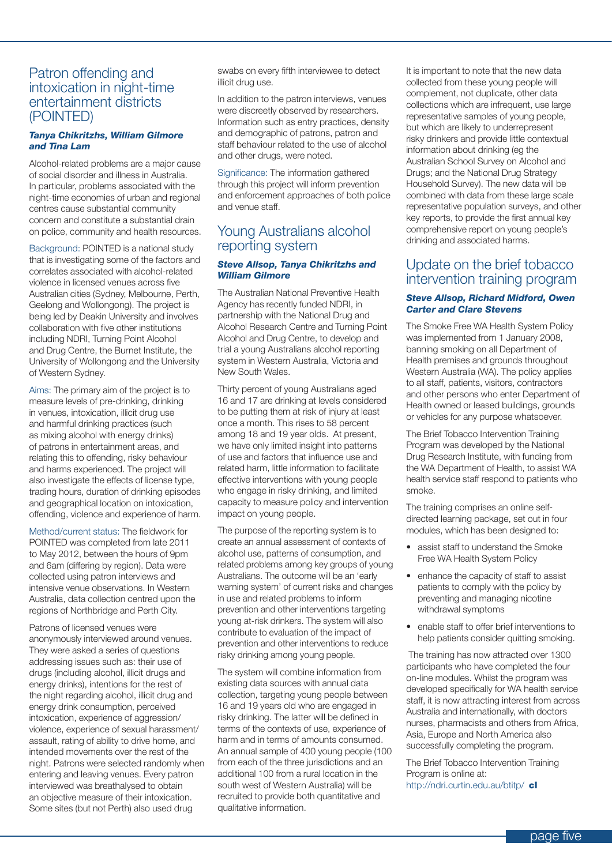#### Patron offending and intoxication in night-time entertainment districts (POINTED)

#### *Tanya Chikritzhs, William Gilmore and Tina Lam*

Alcohol-related problems are a major cause of social disorder and illness in Australia. In particular, problems associated with the night-time economies of urban and regional centres cause substantial community concern and constitute a substantial drain on police, community and health resources.

Background: POINTED is a national study that is investigating some of the factors and correlates associated with alcohol-related violence in licensed venues across five Australian cities (Sydney, Melbourne, Perth, Geelong and Wollongong). The project is being led by Deakin University and involves collaboration with five other institutions including NDRI, Turning Point Alcohol and Drug Centre, the Burnet Institute, the University of Wollongong and the University of Western Sydney.

Aims: The primary aim of the project is to measure levels of pre-drinking, drinking in venues, intoxication, illicit drug use and harmful drinking practices (such as mixing alcohol with energy drinks) of patrons in entertainment areas, and relating this to offending, risky behaviour and harms experienced. The project will also investigate the effects of license type, trading hours, duration of drinking episodes and geographical location on intoxication, offending, violence and experience of harm.

Method/current status: The fieldwork for POINTED was completed from late 2011 to May 2012, between the hours of 9pm and 6am (differing by region). Data were collected using patron interviews and intensive venue observations. In Western Australia, data collection centred upon the regions of Northbridge and Perth City.

Patrons of licensed venues were anonymously interviewed around venues. They were asked a series of questions addressing issues such as: their use of drugs (including alcohol, illicit drugs and energy drinks), intentions for the rest of the night regarding alcohol, illicit drug and energy drink consumption, perceived intoxication, experience of aggression/ violence, experience of sexual harassment/ assault, rating of ability to drive home, and intended movements over the rest of the night. Patrons were selected randomly when entering and leaving venues. Every patron interviewed was breathalysed to obtain an objective measure of their intoxication. Some sites (but not Perth) also used drug

swabs on every fifth interviewee to detect illicit drug use.

In addition to the patron interviews, venues were discreetly observed by researchers. Information such as entry practices, density and demographic of patrons, patron and staff behaviour related to the use of alcohol and other drugs, were noted.

Significance: The information gathered through this project will inform prevention and enforcement approaches of both police and venue staff.

#### Young Australians alcohol reporting system

#### *Steve Allsop, Tanya Chikritzhs and William Gilmore*

The Australian National Preventive Health Agency has recently funded NDRI, in partnership with the National Drug and Alcohol Research Centre and Turning Point Alcohol and Drug Centre, to develop and trial a young Australians alcohol reporting system in Western Australia, Victoria and New South Wales.

Thirty percent of young Australians aged 16 and 17 are drinking at levels considered to be putting them at risk of injury at least once a month. This rises to 58 percent among 18 and 19 year olds. At present, we have only limited insight into patterns of use and factors that influence use and related harm, little information to facilitate effective interventions with young people who engage in risky drinking, and limited capacity to measure policy and intervention impact on young people.

The purpose of the reporting system is to create an annual assessment of contexts of alcohol use, patterns of consumption, and related problems among key groups of young Australians. The outcome will be an 'early warning system' of current risks and changes in use and related problems to inform prevention and other interventions targeting young at-risk drinkers. The system will also contribute to evaluation of the impact of prevention and other interventions to reduce risky drinking among young people.

The system will combine information from existing data sources with annual data collection, targeting young people between 16 and 19 years old who are engaged in risky drinking. The latter will be defined in terms of the contexts of use, experience of harm and in terms of amounts consumed. An annual sample of 400 young people (100 from each of the three jurisdictions and an additional 100 from a rural location in the south west of Western Australia) will be recruited to provide both quantitative and qualitative information.

It is important to note that the new data collected from these young people will complement, not duplicate, other data collections which are infrequent, use large representative samples of young people, but which are likely to underrepresent risky drinkers and provide little contextual information about drinking (eg the Australian School Survey on Alcohol and Drugs; and the National Drug Strategy Household Survey). The new data will be combined with data from these large scale representative population surveys, and other key reports, to provide the first annual key comprehensive report on young people's drinking and associated harms.

#### Update on the brief tobacco intervention training program

#### *Steve Allsop, Richard Midford, Owen Carter and Clare Stevens*

The Smoke Free WA Health System Policy was implemented from 1 January 2008, banning smoking on all Department of Health premises and grounds throughout Western Australia (WA). The policy applies to all staff, patients, visitors, contractors and other persons who enter Department of Health owned or leased buildings, grounds or vehicles for any purpose whatsoever.

The Brief Tobacco Intervention Training Program was developed by the National Drug Research Institute, with funding from the WA Department of Health, to assist WA health service staff respond to patients who smoke.

The training comprises an online selfdirected learning package, set out in four modules, which has been designed to:

- assist staff to understand the Smoke Free WA Health System Policy
- enhance the capacity of staff to assist patients to comply with the policy by preventing and managing nicotine withdrawal symptoms
- • enable staff to offer brief interventions to help patients consider quitting smoking.

 The training has now attracted over 1300 participants who have completed the four on-line modules. Whilst the program was developed specifically for WA health service staff, it is now attracting interest from across Australia and internationally, with doctors nurses, pharmacists and others from Africa, Asia, Europe and North America also successfully completing the program.

The Brief Tobacco Intervention Training Program is online at: http://ndri.curtin.edu.au/btitp/ cl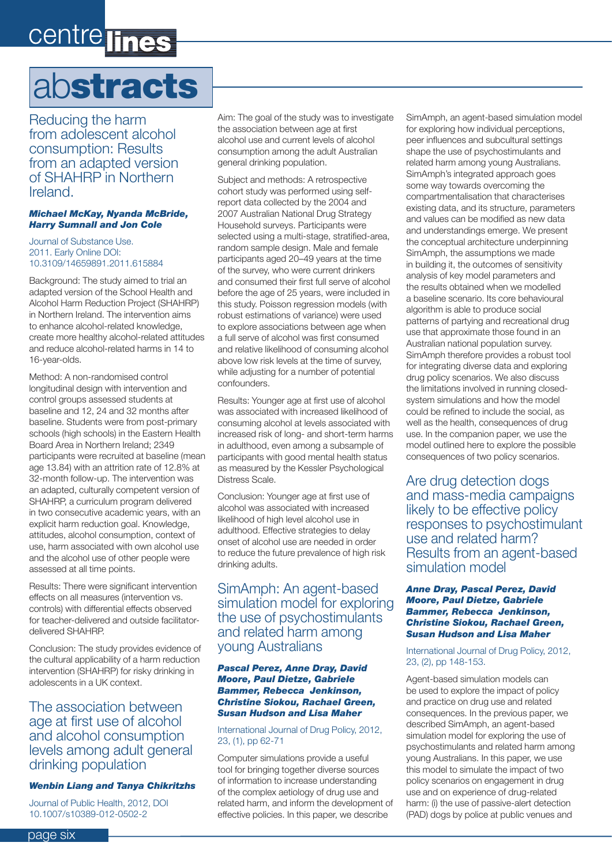# centre lines

# abstracts

Reducing the harm from adolescent alcohol consumption: Results from an adapted version of SHAHRP in Northern Ireland.

#### *Michael McKay, Nyanda McBride, Harry Sumnall and Jon Cole*

#### Journal of Substance Use. 2011. Early Online DOI: 10.3109/14659891.2011.615884

Background: The study aimed to trial an adapted version of the School Health and Alcohol Harm Reduction Project (SHAHRP) in Northern Ireland. The intervention aims to enhance alcohol-related knowledge, create more healthy alcohol-related attitudes and reduce alcohol-related harms in 14 to 16-year-olds.

Method: A non-randomised control longitudinal design with intervention and control groups assessed students at baseline and 12, 24 and 32 months after baseline. Students were from post-primary schools (high schools) in the Eastern Health Board Area in Northern Ireland; 2349 participants were recruited at baseline (mean age 13.84) with an attrition rate of 12.8% at 32-month follow-up. The intervention was an adapted, culturally competent version of SHAHRP, a curriculum program delivered in two consecutive academic years, with an explicit harm reduction goal. Knowledge, attitudes, alcohol consumption, context of use, harm associated with own alcohol use and the alcohol use of other people were assessed at all time points.

Results: There were significant intervention effects on all measures (intervention vs. controls) with differential effects observed for teacher-delivered and outside facilitatordelivered SHAHRP.

Conclusion: The study provides evidence of the cultural applicability of a harm reduction intervention (SHAHRP) for risky drinking in adolescents in a UK context.

#### The association between age at first use of alcohol and alcohol consumption levels among adult general drinking population

#### *Wenbin Liang and Tanya Chikritzhs*

Journal of Public Health, 2012, DOI 10.1007/s10389-012-0502-2

Aim: The goal of the study was to investigate the association between age at first alcohol use and current levels of alcohol consumption among the adult Australian general drinking population.

Subject and methods: A retrospective cohort study was performed using selfreport data collected by the 2004 and 2007 Australian National Drug Strategy Household surveys. Participants were selected using a multi-stage, stratified-area, random sample design. Male and female participants aged 20–49 years at the time of the survey, who were current drinkers and consumed their first full serve of alcohol before the age of 25 years, were included in this study. Poisson regression models (with robust estimations of variance) were used to explore associations between age when a full serve of alcohol was first consumed and relative likelihood of consuming alcohol above low risk levels at the time of survey, while adjusting for a number of potential confounders.

Results: Younger age at first use of alcohol was associated with increased likelihood of consuming alcohol at levels associated with increased risk of long- and short-term harms in adulthood, even among a subsample of participants with good mental health status as measured by the Kessler Psychological Distress Scale.

Conclusion: Younger age at first use of alcohol was associated with increased likelihood of high level alcohol use in adulthood. Effective strategies to delay onset of alcohol use are needed in order to reduce the future prevalence of high risk drinking adults.

SimAmph: An agent-based simulation model for exploring the use of psychostimulants and related harm among young Australians

#### *Pascal Perez, Anne Dray, David Moore, Paul Dietze, Gabriele Bammer, Rebecca Jenkinson, Christine Siokou, Rachael Green, Susan Hudson and Lisa Maher*

#### International Journal of Drug Policy, 2012, 23, (1), pp 62-71

Computer simulations provide a useful tool for bringing together diverse sources of information to increase understanding of the complex aetiology of drug use and related harm, and inform the development of effective policies. In this paper, we describe

SimAmph, an agent-based simulation model for exploring how individual perceptions, peer influences and subcultural settings shape the use of psychostimulants and related harm among young Australians. SimAmph's integrated approach goes some way towards overcoming the compartmentalisation that characterises existing data, and its structure, parameters and values can be modified as new data and understandings emerge. We present the conceptual architecture underpinning SimAmph, the assumptions we made in building it, the outcomes of sensitivity analysis of key model parameters and the results obtained when we modelled a baseline scenario. Its core behavioural algorithm is able to produce social patterns of partying and recreational drug use that approximate those found in an Australian national population survey. SimAmph therefore provides a robust tool for integrating diverse data and exploring drug policy scenarios. We also discuss the limitations involved in running closedsystem simulations and how the model could be refined to include the social, as well as the health, consequences of drug use. In the companion paper, we use the model outlined here to explore the possible consequences of two policy scenarios.

Are drug detection dogs and mass-media campaigns likely to be effective policy responses to psychostimulant use and related harm? Results from an agent-based simulation model

#### *Anne Dray, Pascal Perez, David Moore, Paul Dietze, Gabriele Bammer, Rebecca Jenkinson, Christine Siokou, Rachael Green, Susan Hudson and Lisa Maher*

International Journal of Drug Policy, 2012, 23, (2), pp 148-153.

Agent-based simulation models can be used to explore the impact of policy and practice on drug use and related consequences. In the previous paper, we described SimAmph, an agent-based simulation model for exploring the use of psychostimulants and related harm among young Australians. In this paper, we use this model to simulate the impact of two policy scenarios on engagement in drug use and on experience of drug-related harm: (i) the use of passive-alert detection (PAD) dogs by police at public venues and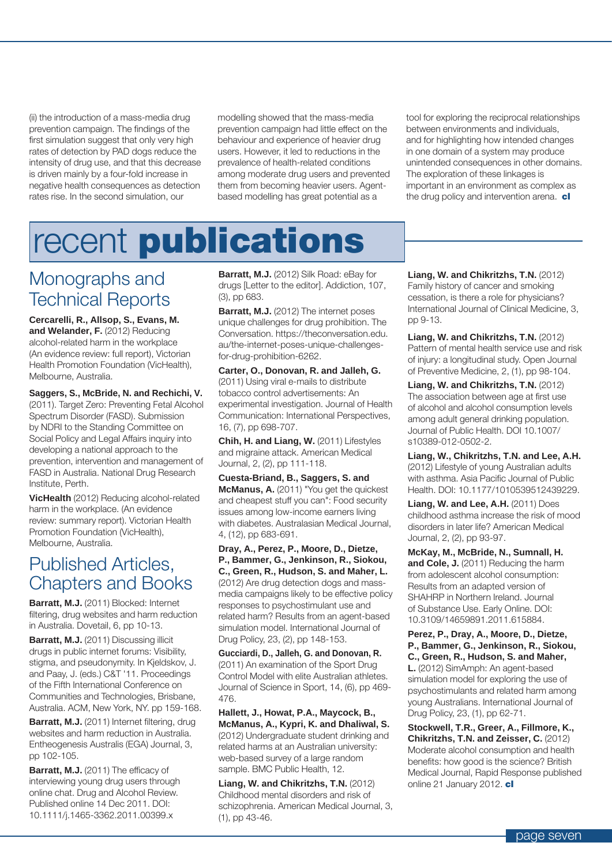(ii) the introduction of a mass-media drug prevention campaign. The findings of the first simulation suggest that only very high rates of detection by PAD dogs reduce the intensity of drug use, and that this decrease is driven mainly by a four-fold increase in negative health consequences as detection rates rise. In the second simulation, our

modelling showed that the mass-media prevention campaign had little effect on the behaviour and experience of heavier drug users. However, it led to reductions in the prevalence of health-related conditions among moderate drug users and prevented them from becoming heavier users. Agentbased modelling has great potential as a

tool for exploring the reciprocal relationships between environments and individuals, and for highlighting how intended changes in one domain of a system may produce unintended consequences in other domains. The exploration of these linkages is important in an environment as complex as the drug policy and intervention arena. cl

# recent publications

### Monographs and Technical Reports

**Cercarelli, R., Allsop, S., Evans, M. and Welander, F.** (2012) Reducing alcohol-related harm in the workplace (An evidence review: full report), Victorian Health Promotion Foundation (VicHealth), Melbourne, Australia.

**Saggers, S., McBride, N. and Rechichi, V.** (2011). Target Zero: Preventing Fetal Alcohol Spectrum Disorder (FASD). Submission by NDRI to the Standing Committee on Social Policy and Legal Affairs inquiry into developing a national approach to the prevention, intervention and management of FASD in Australia. National Drug Research Institute, Perth.

**VicHealth** (2012) Reducing alcohol-related harm in the workplace. (An evidence review: summary report). Victorian Health Promotion Foundation (VicHealth), Melbourne, Australia.

### Published Articles, Chapters and Books

**Barratt, M.J.** (2011) Blocked: Internet filtering, drug websites and harm reduction in Australia. Dovetail, 6, pp 10-13.

**Barratt, M.J.** (2011) Discussing illicit drugs in public internet forums: Visibility, stigma, and pseudonymity. In Kjeldskov, J. and Paay, J. (eds.) C&T '11. Proceedings of the Fifth International Conference on Communities and Technologies, Brisbane, Australia. ACM, New York, NY. pp 159-168.

**Barratt, M.J.** (2011) Internet filtering, drug websites and harm reduction in Australia. Entheogenesis Australis (EGA) Journal, 3, pp 102-105.

**Barratt, M.J.** (2011) The efficacy of interviewing young drug users through online chat. Drug and Alcohol Review. Published online 14 Dec 2011. DOI: 10.1111/j.1465-3362.2011.00399.x

**Barratt, M.J.** (2012) Silk Road: eBay for drugs [Letter to the editor]. Addiction, 107, (3), pp 683.

**Barratt, M.J.** (2012) The internet poses unique challenges for drug prohibition. The Conversation. https://theconversation.edu. au/the-internet-poses-unique-challengesfor-drug-prohibition-6262.

**Carter, O., Donovan, R. and Jalleh, G.** (2011) Using viral e-mails to distribute tobacco control advertisements: An experimental investigation. Journal of Health Communication: International Perspectives, 16, (7), pp 698-707.

**Chih, H. and Liang, W.** (2011) Lifestyles and migraine attack. American Medical Journal, 2, (2), pp 111-118.

**Cuesta-Briand, B., Saggers, S. and McManus, A.** (2011) "You get the quickest and cheapest stuff you can": Food security issues among low-income earners living with diabetes. Australasian Medical Journal, 4, (12), pp 683-691.

**Dray, A., Perez, P., Moore, D., Dietze, P., Bammer, G., Jenkinson, R., Siokou, C., Green, R., Hudson, S. and Maher, L.**  (2012) Are drug detection dogs and massmedia campaigns likely to be effective policy responses to psychostimulant use and related harm? Results from an agent-based simulation model. International Journal of Drug Policy, 23, (2), pp 148-153.

**Gucciardi, D., Jalleh, G. and Donovan, R.**  (2011) An examination of the Sport Drug Control Model with elite Australian athletes. Journal of Science in Sport, 14, (6), pp 469- 476.

**Hallett, J., Howat, P.A., Maycock, B., McManus, A., Kypri, K. and Dhaliwal, S.**  (2012) Undergraduate student drinking and related harms at an Australian university: web-based survey of a large random sample. BMC Public Health, 12.

**Liang, W. and Chikritzhs, T.N.** (2012) Childhood mental disorders and risk of schizophrenia. American Medical Journal, 3, (1), pp 43-46.

**Liang, W. and Chikritzhs, T.N.** (2012) Family history of cancer and smoking cessation, is there a role for physicians? International Journal of Clinical Medicine, 3, pp 9-13.

**Liang, W. and Chikritzhs, T.N.** (2012) Pattern of mental health service use and risk of injury: a longitudinal study. Open Journal of Preventive Medicine, 2, (1), pp 98-104.

**Liang, W. and Chikritzhs, T.N.** (2012) The association between age at first use of alcohol and alcohol consumption levels among adult general drinking population. Journal of Public Health. DOI 10.1007/ s10389-012-0502-2.

**Liang, W., Chikritzhs, T.N. and Lee, A.H.**  (2012) Lifestyle of young Australian adults with asthma. Asia Pacific Journal of Public Health. DOI: 10.1177/1010539512439229.

**Liang, W. and Lee, A.H.** (2011) Does childhood asthma increase the risk of mood disorders in later life? American Medical Journal, 2, (2), pp 93-97.

**McKay, M., McBride, N., Sumnall, H. and Cole, J.** (2011) Reducing the harm from adolescent alcohol consumption: Results from an adapted version of SHAHRP in Northern Ireland. Journal of Substance Use. Early Online. DOI: 10.3109/14659891.2011.615884.

**Perez, P., Dray, A., Moore, D., Dietze, P., Bammer, G., Jenkinson, R., Siokou, C., Green, R., Hudson, S. and Maher, L.** (2012) SimAmph: An agent-based simulation model for exploring the use of psychostimulants and related harm among young Australians. International Journal of Drug Policy, 23, (1), pp 62-71.

**Stockwell, T.R., Greer, A., Fillmore, K., Chikritzhs, T.N. and Zeisser, C.** (2012) Moderate alcohol consumption and health benefits: how good is the science? British Medical Journal, Rapid Response published online 21 January 2012. cl